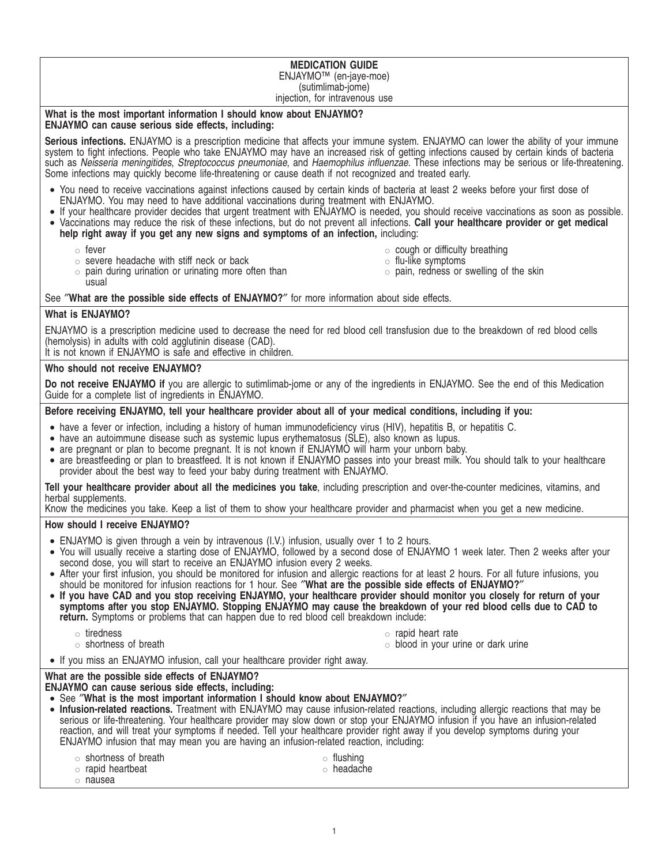#### **MEDICATION GUIDE** ENJAYMO™ (en-jaye-moe) (sutimlimab-jome) injection, for intravenous use

### **What is the most important information I should know about ENJAYMO? ENJAYMO can cause serious side effects, including:**

**Serious infections.** ENJAYMO is a prescription medicine that affects your immune system. ENJAYMO can lower the ability of your immune system to fight infections. People who take ENJAYMO may have an increased risk of getting infections caused by certain kinds of bacteria such as Neisseria meningitides, Streptococcus pneumoniae, and Haemophilus influenzae. These infections may be serious or life-threatening. Some infections may quickly become life-threatening or cause death if not recognized and treated early.

- You need to receive vaccinations against infections caused by certain kinds of bacteria at least 2 weeks before your first dose of ENJAYMO. You may need to have additional vaccinations during treatment with ENJAYMO.
- If your healthcare provider decides that urgent treatment with ENJAYMO is needed, you should receive vaccinations as soon as possible. • Vaccinations may reduce the risk of these infections, but do not prevent all infections. **Call your healthcare provider or get medical**
	- **help right away if you get any new signs and symptoms of an infection,** including:
		- $\circ$  fever
		- $\circ$  severe headache with stiff neck or back
- $\circ$  cough or difficulty breathing
- $\circ$  flu-like symptoms

 $\circ$  pain during urination or urinating more often than usual

 $\circ$  pain, redness or swelling of the skin

# See ″**What are the possible side effects of ENJAYMO?**″ for more information about side effects.

# **What is ENJAYMO?**

ENJAYMO is a prescription medicine used to decrease the need for red blood cell transfusion due to the breakdown of red blood cells (hemolysis) in adults with cold agglutinin disease (CAD).

It is not known if ENJAYMO is safe and effective in children.

### **Who should not receive ENJAYMO?**

**Do not receive ENJAYMO if** you are allergic to sutimlimab-jome or any of the ingredients in ENJAYMO. See the end of this Medication Guide for a complete list of ingredients in ENJAYMO.

# **Before receiving ENJAYMO, tell your healthcare provider about all of your medical conditions, including if you:**

- have a fever or infection, including a history of human immunodeficiency virus (HIV), hepatitis B, or hepatitis C.
- have an autoimmune disease such as systemic lupus erythematosus (SLE), also known as lupus.
- are pregnant or plan to become pregnant. It is not known if ENJAYMO will harm your unborn baby.
- are breastfeeding or plan to breastfeed. It is not known if ENJAYMO passes into your breast milk. You should talk to your healthcare provider about the best way to feed your baby during treatment with ENJAYMO.

**Tell your healthcare provider about all the medicines you take**, including prescription and over-the-counter medicines, vitamins, and herbal supplements.

Know the medicines you take. Keep a list of them to show your healthcare provider and pharmacist when you get a new medicine.

# **How should I receive ENJAYMO?**

- ENJAYMO is given through a vein by intravenous (I.V.) infusion, usually over 1 to 2 hours.
- You will usually receive a starting dose of ENJAYMO, followed by a second dose of ENJAYMO 1 week later. Then 2 weeks after your second dose, you will start to receive an ENJAYMO infusion every 2 weeks.
- After your first infusion, you should be monitored for infusion and allergic reactions for at least 2 hours. For all future infusions, you should be monitored for infusion reactions for 1 hour. See ″**What are the possible side effects of ENJAYMO?**″
- **If you have CAD and you stop receiving ENJAYMO, your healthcare provider should monitor you closely for return of your symptoms after you stop ENJAYMO. Stopping ENJAYMO may cause the breakdown of your red blood cells due to CAD to return.** Symptoms or problems that can happen due to red blood cell breakdown include:
	- $\circ$  tiredness
	- $\circ$  shortness of breath
- $\circ$  rapid heart rate
- $\circ$  blood in your urine or dark urine
- If you miss an ENJAYMO infusion, call your healthcare provider right away.

# **What are the possible side effects of ENJAYMO?**

**ENJAYMO can cause serious side effects, including:**

- See ″**What is the most important information I should know about ENJAYMO?**″
- **Infusion-related reactions.** Treatment with ENJAYMO may cause infusion-related reactions, including allergic reactions that may be serious or life-threatening. Your healthcare provider may slow down or stop your ENJAYMO infusion if you have an infusion-related reaction, and will treat your symptoms if needed. Tell your healthcare provider right away if you develop symptoms during your ENJAYMO infusion that may mean you are having an infusion-related reaction, including:
	- $\circ$  shortness of breath  $\circ$  rapid heartbeat  $\circ$  flushing  $\circ$  headache
	- $\circ$  nausea